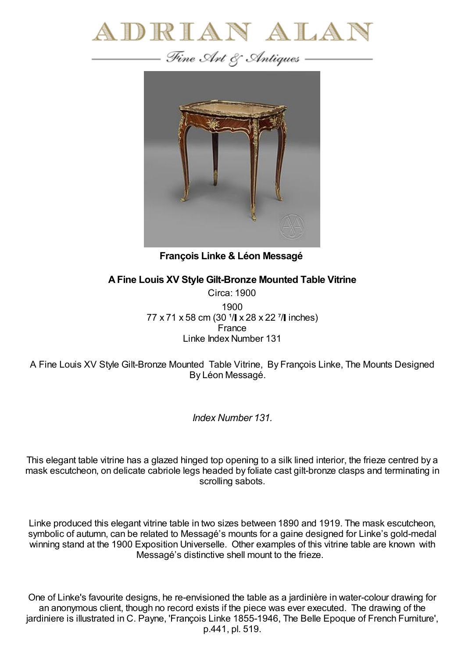



**François Linke & Léon Messagé**

## **AFine Louis XV Style Gilt-Bronze Mounted Table Vitrine**

Circa: 1900 1900 77 x 71 x 58 cm (30  $1/$  x 28 x 22  $7/$  inches) France Linke Index Number 131

A Fine Louis XV Style Gilt-Bronze Mounted Table Vitrine, By François Linke, The Mounts Designed By Léon Messagé.

*Index Number 131.*

This elegant table vitrine has a glazed hinged top opening to a silk lined interior, the frieze centred by a mask escutcheon, on delicate cabriole legs headed by foliate cast gilt-bronze clasps and terminating in scrolling sabots.

Linke produced this elegant vitrine table in two sizes between 1890 and 1919. The mask escutcheon, symbolic of autumn, can be related to Messagé's mounts for a gaine designed for Linke's gold-medal winning stand at the 1900 Exposition Universelle. Other examples of this vitrine table are known with Messagé's distinctive shell mount to the frieze.

One of Linke's favourite designs, he re-envisioned the table as a jardinière in water-colour drawing for an anonymous client, though no record exists if the piece was ever executed. The drawing of the jardiniere is illustrated in C. Payne, 'François Linke 1855-1946, The Belle Epoque of French Furniture', p.441, pl. 519.